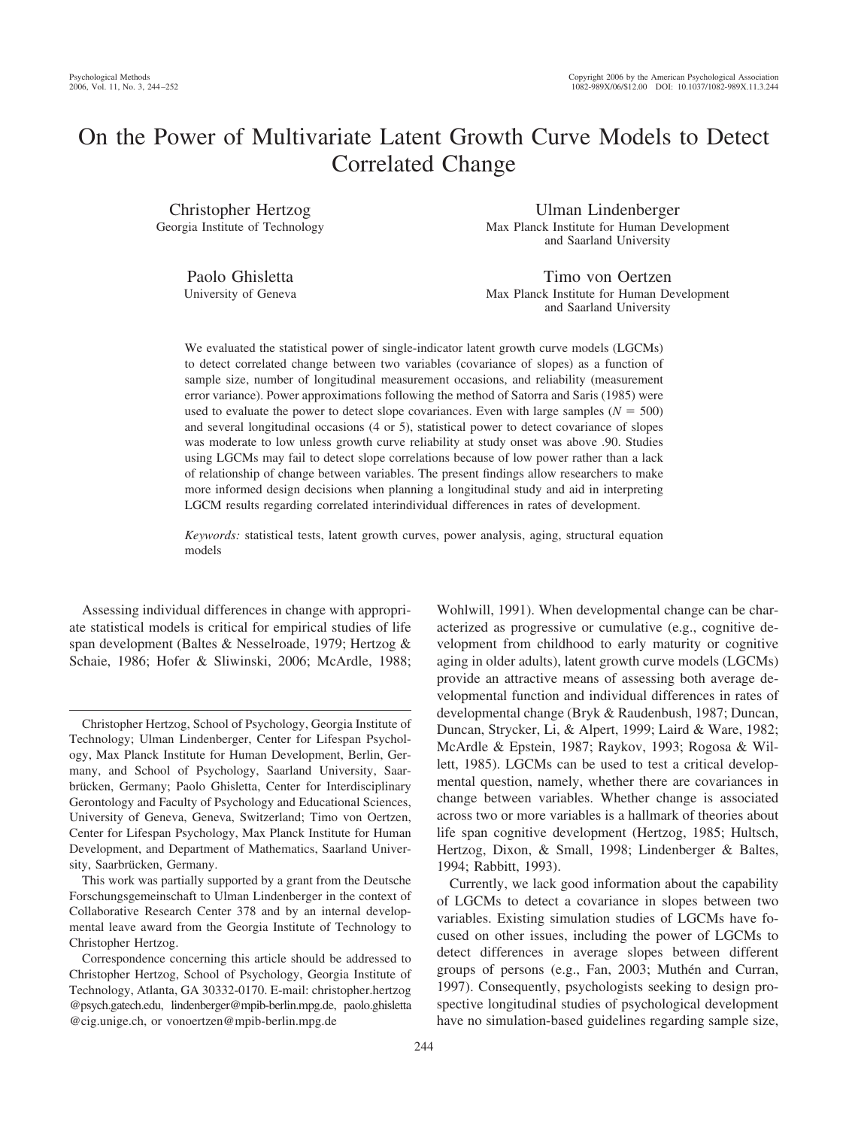# On the Power of Multivariate Latent Growth Curve Models to Detect Correlated Change

Christopher Hertzog Georgia Institute of Technology

Ulman Lindenberger Max Planck Institute for Human Development and Saarland University

Paolo Ghisletta University of Geneva

Timo von Oertzen Max Planck Institute for Human Development and Saarland University

We evaluated the statistical power of single-indicator latent growth curve models (LGCMs) to detect correlated change between two variables (covariance of slopes) as a function of sample size, number of longitudinal measurement occasions, and reliability (measurement error variance). Power approximations following the method of Satorra and Saris (1985) were used to evaluate the power to detect slope covariances. Even with large samples ( $N = 500$ ) and several longitudinal occasions (4 or 5), statistical power to detect covariance of slopes was moderate to low unless growth curve reliability at study onset was above .90. Studies using LGCMs may fail to detect slope correlations because of low power rather than a lack of relationship of change between variables. The present findings allow researchers to make more informed design decisions when planning a longitudinal study and aid in interpreting LGCM results regarding correlated interindividual differences in rates of development.

*Keywords:* statistical tests, latent growth curves, power analysis, aging, structural equation models

Assessing individual differences in change with appropriate statistical models is critical for empirical studies of life span development (Baltes & Nesselroade, 1979; Hertzog & Schaie, 1986; Hofer & Sliwinski, 2006; McArdle, 1988; Wohlwill, 1991). When developmental change can be characterized as progressive or cumulative (e.g., cognitive development from childhood to early maturity or cognitive aging in older adults), latent growth curve models (LGCMs) provide an attractive means of assessing both average developmental function and individual differences in rates of developmental change (Bryk & Raudenbush, 1987; Duncan, Duncan, Strycker, Li, & Alpert, 1999; Laird & Ware, 1982; McArdle & Epstein, 1987; Raykov, 1993; Rogosa & Willett, 1985). LGCMs can be used to test a critical developmental question, namely, whether there are covariances in change between variables. Whether change is associated across two or more variables is a hallmark of theories about life span cognitive development (Hertzog, 1985; Hultsch, Hertzog, Dixon, & Small, 1998; Lindenberger & Baltes, 1994; Rabbitt, 1993).

Currently, we lack good information about the capability of LGCMs to detect a covariance in slopes between two variables. Existing simulation studies of LGCMs have focused on other issues, including the power of LGCMs to detect differences in average slopes between different groups of persons (e.g., Fan, 2003; Muthén and Curran, 1997). Consequently, psychologists seeking to design prospective longitudinal studies of psychological development have no simulation-based guidelines regarding sample size,

Christopher Hertzog, School of Psychology, Georgia Institute of Technology; Ulman Lindenberger, Center for Lifespan Psychology, Max Planck Institute for Human Development, Berlin, Germany, and School of Psychology, Saarland University, Saarbrücken, Germany; Paolo Ghisletta, Center for Interdisciplinary Gerontology and Faculty of Psychology and Educational Sciences, University of Geneva, Geneva, Switzerland; Timo von Oertzen, Center for Lifespan Psychology, Max Planck Institute for Human Development, and Department of Mathematics, Saarland University, Saarbrücken, Germany.

This work was partially supported by a grant from the Deutsche Forschungsgemeinschaft to Ulman Lindenberger in the context of Collaborative Research Center 378 and by an internal developmental leave award from the Georgia Institute of Technology to Christopher Hertzog.

Correspondence concerning this article should be addressed to Christopher Hertzog, School of Psychology, Georgia Institute of Technology, Atlanta, GA 30332-0170. E-mail: christopher.hertzog @psych.gatech.edu, lindenberger@mpib-berlin.mpg.de, paolo.ghisletta @cig.unige.ch, or vonoertzen@mpib-berlin.mpg.de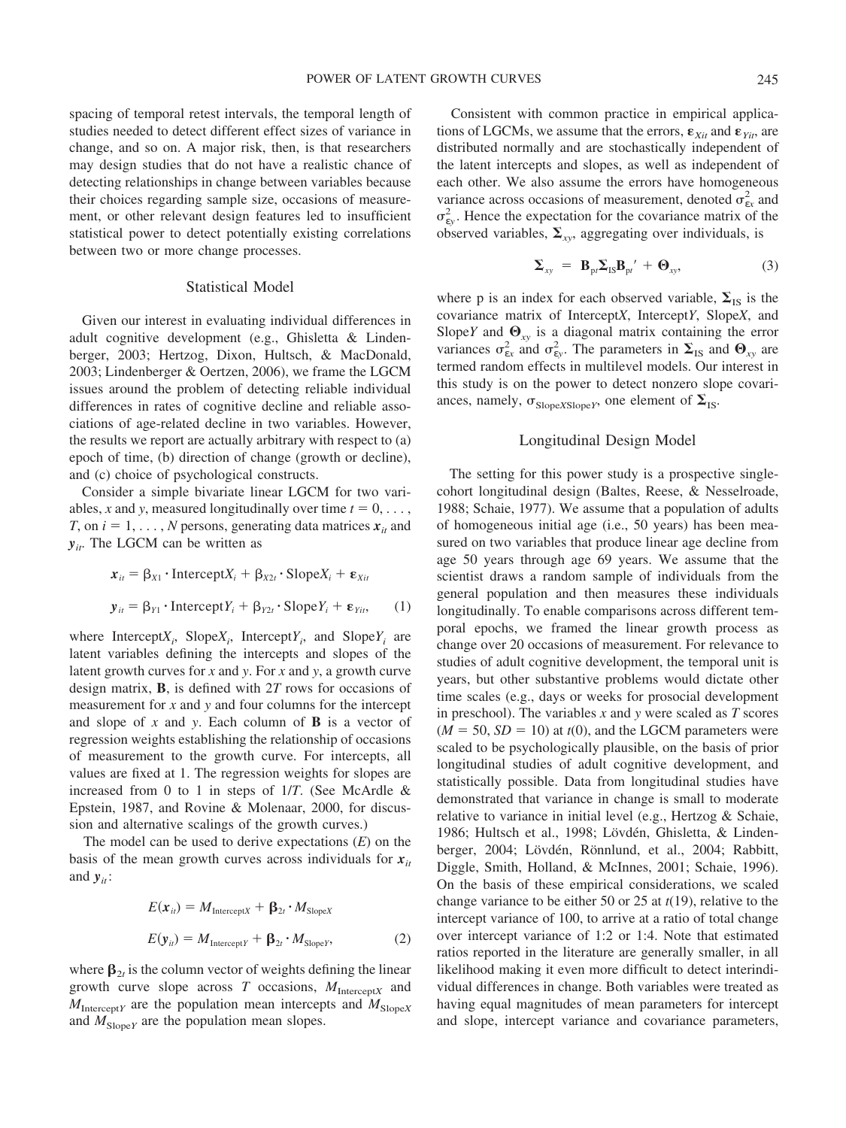spacing of temporal retest intervals, the temporal length of studies needed to detect different effect sizes of variance in change, and so on. A major risk, then, is that researchers may design studies that do not have a realistic chance of detecting relationships in change between variables because their choices regarding sample size, occasions of measurement, or other relevant design features led to insufficient statistical power to detect potentially existing correlations between two or more change processes.

## Statistical Model

Given our interest in evaluating individual differences in adult cognitive development (e.g., Ghisletta & Lindenberger, 2003; Hertzog, Dixon, Hultsch, & MacDonald, 2003; Lindenberger & Oertzen, 2006), we frame the LGCM issues around the problem of detecting reliable individual differences in rates of cognitive decline and reliable associations of age-related decline in two variables. However, the results we report are actually arbitrary with respect to (a) epoch of time, (b) direction of change (growth or decline), and (c) choice of psychological constructs.

Consider a simple bivariate linear LGCM for two variables, *x* and *y*, measured longitudinally over time  $t = 0, \ldots$ , *T*, on  $i = 1, \ldots, N$  persons, generating data matrices  $x_{it}$  and  $y_{it}$ . The LGCM can be written as

$$
\mathbf{x}_{it} = \beta_{X1} \cdot \text{Intercept} X_i + \beta_{X2t} \cdot \text{Slope} X_i + \mathbf{\varepsilon}_{Xit}
$$

$$
\mathbf{y}_{it} = \beta_{Y1} \cdot \text{Intercept} Y_i + \beta_{Y2t} \cdot \text{Slope} Y_i + \mathbf{\varepsilon}_{Yit}, \qquad (1)
$$

where Intercept $X_i$ , Slope $X_i$ , Intercept $Y_i$ , and Slope $Y_i$  are latent variables defining the intercepts and slopes of the latent growth curves for *x* and *y*. For *x* and *y*, a growth curve design matrix, **B**, is defined with 2*T* rows for occasions of measurement for *x* and *y* and four columns for the intercept and slope of *x* and *y*. Each column of **B** is a vector of regression weights establishing the relationship of occasions of measurement to the growth curve. For intercepts, all values are fixed at 1. The regression weights for slopes are increased from 0 to 1 in steps of 1/*T*. (See McArdle & Epstein, 1987, and Rovine & Molenaar, 2000, for discussion and alternative scalings of the growth curves.)

The model can be used to derive expectations (*E*) on the basis of the mean growth curves across individuals for  $x_i$ and  $y_{it}$ :

$$
E(\mathbf{x}_{it}) = M_{\text{Intercept}X} + \mathbf{\beta}_{2t} \cdot M_{\text{Slope}X}
$$

$$
E(\mathbf{y}_{it}) = M_{\text{Intercept}Y} + \mathbf{\beta}_{2t} \cdot M_{\text{Slope}Y},
$$
(2)

where  $\beta_{2t}$  is the column vector of weights defining the linear growth curve slope across *T* occasions, *M*Intercept*<sup>X</sup>* and  $M_{\text{Intercept}Y}$  are the population mean intercepts and  $M_{\text{Slope}X}$ and  $M_{SlopeY}$  are the population mean slopes.

Consistent with common practice in empirical applications of LGCMs, we assume that the errors,  $\mathbf{\varepsilon}_{Xit}$  and  $\mathbf{\varepsilon}_{Yit}$ , are distributed normally and are stochastically independent of the latent intercepts and slopes, as well as independent of each other. We also assume the errors have homogeneous variance across occasions of measurement, denoted  $\sigma_{ex}^2$  and  $\sigma_{\rm{ey}}^2$ . Hence the expectation for the covariance matrix of the observed variables,  $\Sigma_{xy}$ , aggregating over individuals, is

$$
\Sigma_{xy} = \mathbf{B}_{\text{pt}} \Sigma_{\text{IS}} \mathbf{B}_{\text{pt}}' + \mathbf{\Theta}_{xy}, \tag{3}
$$

where p is an index for each observed variable,  $\Sigma_{IS}$  is the covariance matrix of Intercept*X*, Intercept*Y*, Slope*X*, and Slope*Y* and  $\mathbf{\Theta}_{xy}$  is a diagonal matrix containing the error variances  $\sigma_{\rm{ex}}^2$  and  $\sigma_{\rm{ey}}^2$ . The parameters in  $\Sigma_{\rm{IS}}$  and  $\Theta_{\rm{xy}}$  are termed random effects in multilevel models. Our interest in this study is on the power to detect nonzero slope covariances, namely,  $\sigma_{SlopeXSlopeY}$ , one element of  $\Sigma_{IS}$ .

## Longitudinal Design Model

The setting for this power study is a prospective singlecohort longitudinal design (Baltes, Reese, & Nesselroade, 1988; Schaie, 1977). We assume that a population of adults of homogeneous initial age (i.e., 50 years) has been measured on two variables that produce linear age decline from age 50 years through age 69 years. We assume that the scientist draws a random sample of individuals from the general population and then measures these individuals longitudinally. To enable comparisons across different temporal epochs, we framed the linear growth process as change over 20 occasions of measurement. For relevance to studies of adult cognitive development, the temporal unit is years, but other substantive problems would dictate other time scales (e.g., days or weeks for prosocial development in preschool). The variables *x* and *y* were scaled as *T* scores  $(M = 50, SD = 10)$  at  $t(0)$ , and the LGCM parameters were scaled to be psychologically plausible, on the basis of prior longitudinal studies of adult cognitive development, and statistically possible. Data from longitudinal studies have demonstrated that variance in change is small to moderate relative to variance in initial level (e.g., Hertzog & Schaie, 1986; Hultsch et al., 1998; Lövdén, Ghisletta, & Lindenberger, 2004; Lövdén, Rönnlund, et al., 2004; Rabbitt, Diggle, Smith, Holland, & McInnes, 2001; Schaie, 1996). On the basis of these empirical considerations, we scaled change variance to be either 50 or 25 at *t*(19), relative to the intercept variance of 100, to arrive at a ratio of total change over intercept variance of 1:2 or 1:4. Note that estimated ratios reported in the literature are generally smaller, in all likelihood making it even more difficult to detect interindividual differences in change. Both variables were treated as having equal magnitudes of mean parameters for intercept and slope, intercept variance and covariance parameters,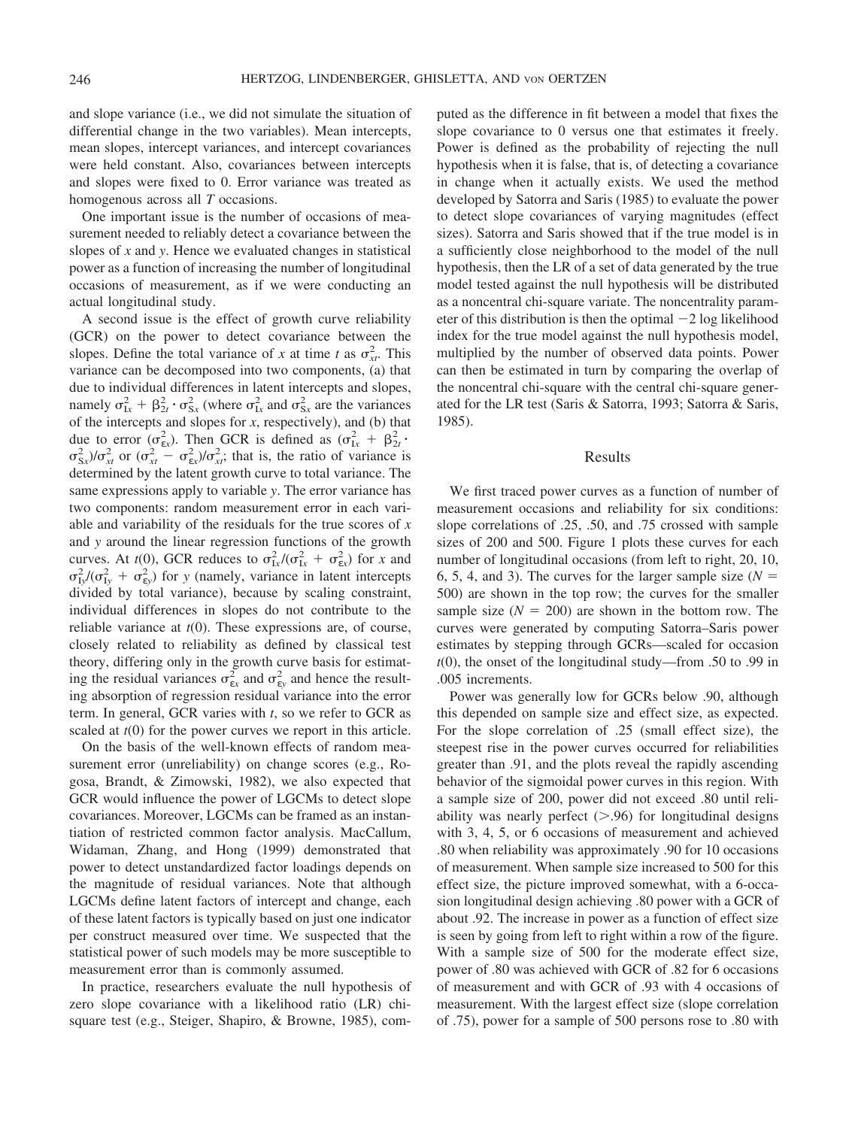and slope variance (i.e., we did not simulate the situation of differential change in the two variables). Mean intercepts, mean slopes, intercept variances, and intercept covariances were held constant. Also, covariances between intercepts and slopes were fixed to 0. Error variance was treated as homogenous across all *T* occasions.

One important issue is the number of occasions of measurement needed to reliably detect a covariance between the slopes of *x* and *y*. Hence we evaluated changes in statistical power as a function of increasing the number of longitudinal occasions of measurement, as if we were conducting an actual longitudinal study.

A second issue is the effect of growth curve reliability (GCR) on the power to detect covariance between the slopes. Define the total variance of *x* at time *t* as  $\sigma_{xr}^2$ . This variance can be decomposed into two components, (a) that due to individual differences in latent intercepts and slopes, namely  $\sigma_{1x}^2 + \beta_{2t}^2 \cdot \sigma_{Sx}^2$  (where  $\sigma_{1x}^2$  and  $\sigma_{Sx}^2$  are the variances of the intercepts and slopes for *x*, respectively), and (b) that due to error  $(\sigma_{\epsilon x}^2)$ . Then GCR is defined as  $(\sigma_{1x}^2 + \beta_{2t}^2)$ .  $\sigma_{Sx}^2$ / $\sigma_{xt}^2$  or  $(\sigma_{xt}^2 - \sigma_{ex}^2)/\sigma_{xt}^2$ ; that is, the ratio of variance is determined by the latent growth curve to total variance. The same expressions apply to variable *y*. The error variance has two components: random measurement error in each variable and variability of the residuals for the true scores of *x* and *y* around the linear regression functions of the growth curves. At *t*(0), GCR reduces to  $\sigma_{1x}^2 / (\sigma_{1x}^2 + \sigma_{ex}^2)$  for *x* and  $\sigma_{Iy}^2/(\sigma_{Iy}^2 + \sigma_{ey}^2)$  for *y* (namely, variance in latent intercepts divided by total variance), because by scaling constraint, individual differences in slopes do not contribute to the reliable variance at *t*(0). These expressions are, of course, closely related to reliability as defined by classical test theory, differing only in the growth curve basis for estimating the residual variances  $\sigma_{\rm ex}^2$  and  $\sigma_{\rm cy}^2$  and hence the resulting absorption of regression residual variance into the error term. In general, GCR varies with *t*, so we refer to GCR as scaled at *t*(0) for the power curves we report in this article.

On the basis of the well-known effects of random measurement error (unreliability) on change scores (e.g., Rogosa, Brandt, & Zimowski, 1982), we also expected that GCR would influence the power of LGCMs to detect slope covariances. Moreover, LGCMs can be framed as an instantiation of restricted common factor analysis. MacCallum, Widaman, Zhang, and Hong (1999) demonstrated that power to detect unstandardized factor loadings depends on the magnitude of residual variances. Note that although LGCMs define latent factors of intercept and change, each of these latent factors is typically based on just one indicator per construct measured over time. We suspected that the statistical power of such models may be more susceptible to measurement error than is commonly assumed.

In practice, researchers evaluate the null hypothesis of zero slope covariance with a likelihood ratio (LR) chisquare test (e.g., Steiger, Shapiro, & Browne, 1985), computed as the difference in fit between a model that fixes the slope covariance to 0 versus one that estimates it freely. Power is defined as the probability of rejecting the null hypothesis when it is false, that is, of detecting a covariance in change when it actually exists. We used the method developed by Satorra and Saris (1985) to evaluate the power to detect slope covariances of varying magnitudes (effect sizes). Satorra and Saris showed that if the true model is in a sufficiently close neighborhood to the model of the null hypothesis, then the LR of a set of data generated by the true model tested against the null hypothesis will be distributed as a noncentral chi-square variate. The noncentrality parameter of this distribution is then the optimal  $-2 \log$  likelihood index for the true model against the null hypothesis model, multiplied by the number of observed data points. Power can then be estimated in turn by comparing the overlap of the noncentral chi-square with the central chi-square generated for the LR test (Saris & Satorra, 1993; Satorra & Saris, 1985).

#### Results

We first traced power curves as a function of number of measurement occasions and reliability for six conditions: slope correlations of .25, .50, and .75 crossed with sample sizes of 200 and 500. Figure 1 plots these curves for each number of longitudinal occasions (from left to right, 20, 10, 6, 5, 4, and 3). The curves for the larger sample size  $(N =$ 500) are shown in the top row; the curves for the smaller sample size  $(N = 200)$  are shown in the bottom row. The curves were generated by computing Satorra–Saris power estimates by stepping through GCRs—scaled for occasion *t*(0), the onset of the longitudinal study—from .50 to .99 in .005 increments.

Power was generally low for GCRs below .90, although this depended on sample size and effect size, as expected. For the slope correlation of .25 (small effect size), the steepest rise in the power curves occurred for reliabilities greater than .91, and the plots reveal the rapidly ascending behavior of the sigmoidal power curves in this region. With a sample size of 200, power did not exceed .80 until reliability was nearly perfect  $(> 0.96)$  for longitudinal designs with 3, 4, 5, or 6 occasions of measurement and achieved .80 when reliability was approximately .90 for 10 occasions of measurement. When sample size increased to 500 for this effect size, the picture improved somewhat, with a 6-occasion longitudinal design achieving .80 power with a GCR of about .92. The increase in power as a function of effect size is seen by going from left to right within a row of the figure. With a sample size of 500 for the moderate effect size, power of .80 was achieved with GCR of .82 for 6 occasions of measurement and with GCR of .93 with 4 occasions of measurement. With the largest effect size (slope correlation of .75), power for a sample of 500 persons rose to .80 with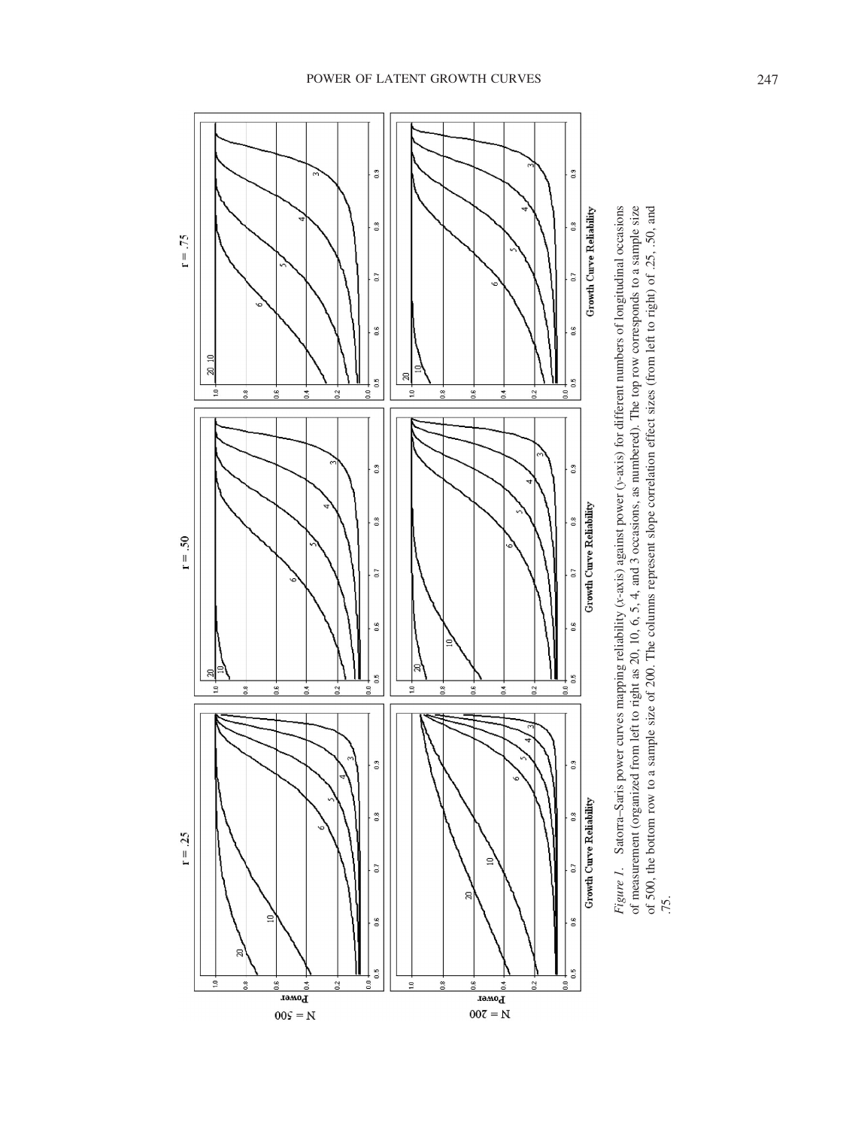

 $00\mathsf{S}=\mathsf{N}$ 

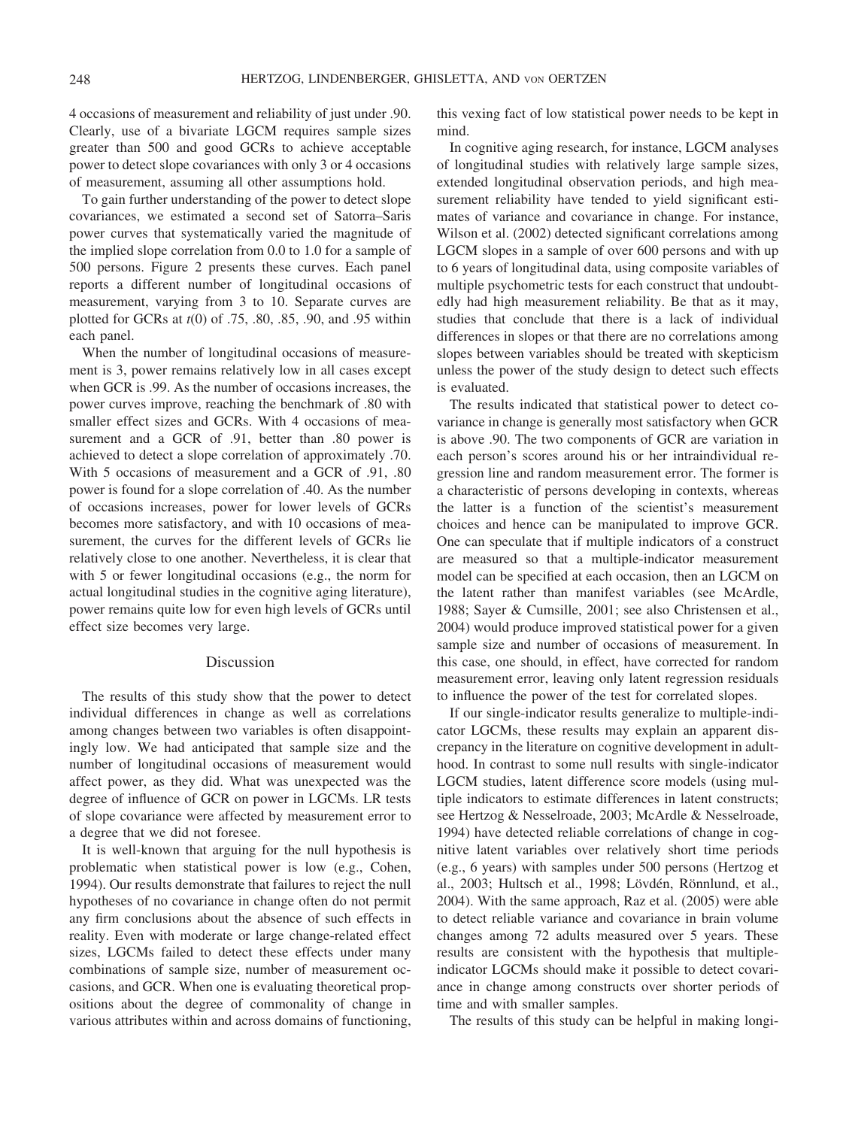4 occasions of measurement and reliability of just under .90. Clearly, use of a bivariate LGCM requires sample sizes greater than 500 and good GCRs to achieve acceptable power to detect slope covariances with only 3 or 4 occasions of measurement, assuming all other assumptions hold.

To gain further understanding of the power to detect slope covariances, we estimated a second set of Satorra–Saris power curves that systematically varied the magnitude of the implied slope correlation from 0.0 to 1.0 for a sample of 500 persons. Figure 2 presents these curves. Each panel reports a different number of longitudinal occasions of measurement, varying from 3 to 10. Separate curves are plotted for GCRs at *t*(0) of .75, .80, .85, .90, and .95 within each panel.

When the number of longitudinal occasions of measurement is 3, power remains relatively low in all cases except when GCR is .99. As the number of occasions increases, the power curves improve, reaching the benchmark of .80 with smaller effect sizes and GCRs. With 4 occasions of measurement and a GCR of .91, better than .80 power is achieved to detect a slope correlation of approximately .70. With 5 occasions of measurement and a GCR of .91, .80 power is found for a slope correlation of .40. As the number of occasions increases, power for lower levels of GCRs becomes more satisfactory, and with 10 occasions of measurement, the curves for the different levels of GCRs lie relatively close to one another. Nevertheless, it is clear that with 5 or fewer longitudinal occasions (e.g., the norm for actual longitudinal studies in the cognitive aging literature), power remains quite low for even high levels of GCRs until effect size becomes very large.

## Discussion

The results of this study show that the power to detect individual differences in change as well as correlations among changes between two variables is often disappointingly low. We had anticipated that sample size and the number of longitudinal occasions of measurement would affect power, as they did. What was unexpected was the degree of influence of GCR on power in LGCMs. LR tests of slope covariance were affected by measurement error to a degree that we did not foresee.

It is well-known that arguing for the null hypothesis is problematic when statistical power is low (e.g., Cohen, 1994). Our results demonstrate that failures to reject the null hypotheses of no covariance in change often do not permit any firm conclusions about the absence of such effects in reality. Even with moderate or large change-related effect sizes, LGCMs failed to detect these effects under many combinations of sample size, number of measurement occasions, and GCR. When one is evaluating theoretical propositions about the degree of commonality of change in various attributes within and across domains of functioning, this vexing fact of low statistical power needs to be kept in mind.

In cognitive aging research, for instance, LGCM analyses of longitudinal studies with relatively large sample sizes, extended longitudinal observation periods, and high measurement reliability have tended to yield significant estimates of variance and covariance in change. For instance, Wilson et al. (2002) detected significant correlations among LGCM slopes in a sample of over 600 persons and with up to 6 years of longitudinal data, using composite variables of multiple psychometric tests for each construct that undoubtedly had high measurement reliability. Be that as it may, studies that conclude that there is a lack of individual differences in slopes or that there are no correlations among slopes between variables should be treated with skepticism unless the power of the study design to detect such effects is evaluated.

The results indicated that statistical power to detect covariance in change is generally most satisfactory when GCR is above .90. The two components of GCR are variation in each person's scores around his or her intraindividual regression line and random measurement error. The former is a characteristic of persons developing in contexts, whereas the latter is a function of the scientist's measurement choices and hence can be manipulated to improve GCR. One can speculate that if multiple indicators of a construct are measured so that a multiple-indicator measurement model can be specified at each occasion, then an LGCM on the latent rather than manifest variables (see McArdle, 1988; Sayer & Cumsille, 2001; see also Christensen et al., 2004) would produce improved statistical power for a given sample size and number of occasions of measurement. In this case, one should, in effect, have corrected for random measurement error, leaving only latent regression residuals to influence the power of the test for correlated slopes.

If our single-indicator results generalize to multiple-indicator LGCMs, these results may explain an apparent discrepancy in the literature on cognitive development in adulthood. In contrast to some null results with single-indicator LGCM studies, latent difference score models (using multiple indicators to estimate differences in latent constructs; see Hertzog & Nesselroade, 2003; McArdle & Nesselroade, 1994) have detected reliable correlations of change in cognitive latent variables over relatively short time periods (e.g., 6 years) with samples under 500 persons (Hertzog et al., 2003; Hultsch et al., 1998; Lövdén, Rönnlund, et al., 2004). With the same approach, Raz et al. (2005) were able to detect reliable variance and covariance in brain volume changes among 72 adults measured over 5 years. These results are consistent with the hypothesis that multipleindicator LGCMs should make it possible to detect covariance in change among constructs over shorter periods of time and with smaller samples.

The results of this study can be helpful in making longi-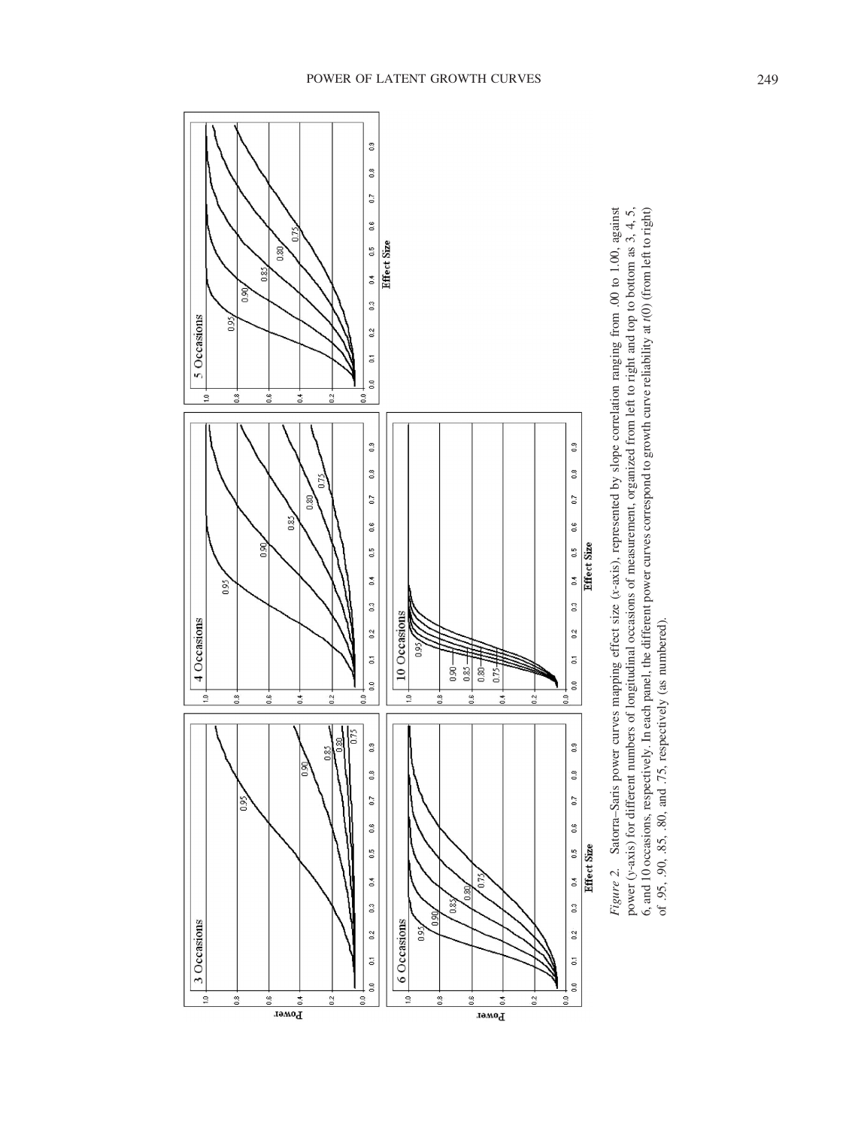

Satorra-Saris power curves mapping effect size (x-axis), represented by slope correlation ranging from .00 to 1.00, against power (y-axis) for different numbers of longitudinal occasions of measurement, organized from left to right and top to bottom as 3, 4, 5, 6, and 10 occasions, respectively. In each panel, the different power curves correspond to growth curve reliability at  $t(0)$  (from left to right) of .95, .90, .85, .80, and .75, respectively (as numbered). *Figure 2.* Satorra–Saris power curves mapping effect size (*x*-axis), represented by slope correlation ranging from .00 to 1.00, against power (*y*-axis) for different numbers of longitudinal occasions of measurement, organized from left to right and top to bottom as 3, 4, 5, 6, and 10 occasions, respectively. In each panel, the different power curves correspond to growth curve reliability at *t*(0) (from left to right) of .95, .90, .85, .80, and .75, respectively (as numbered). Figure 2.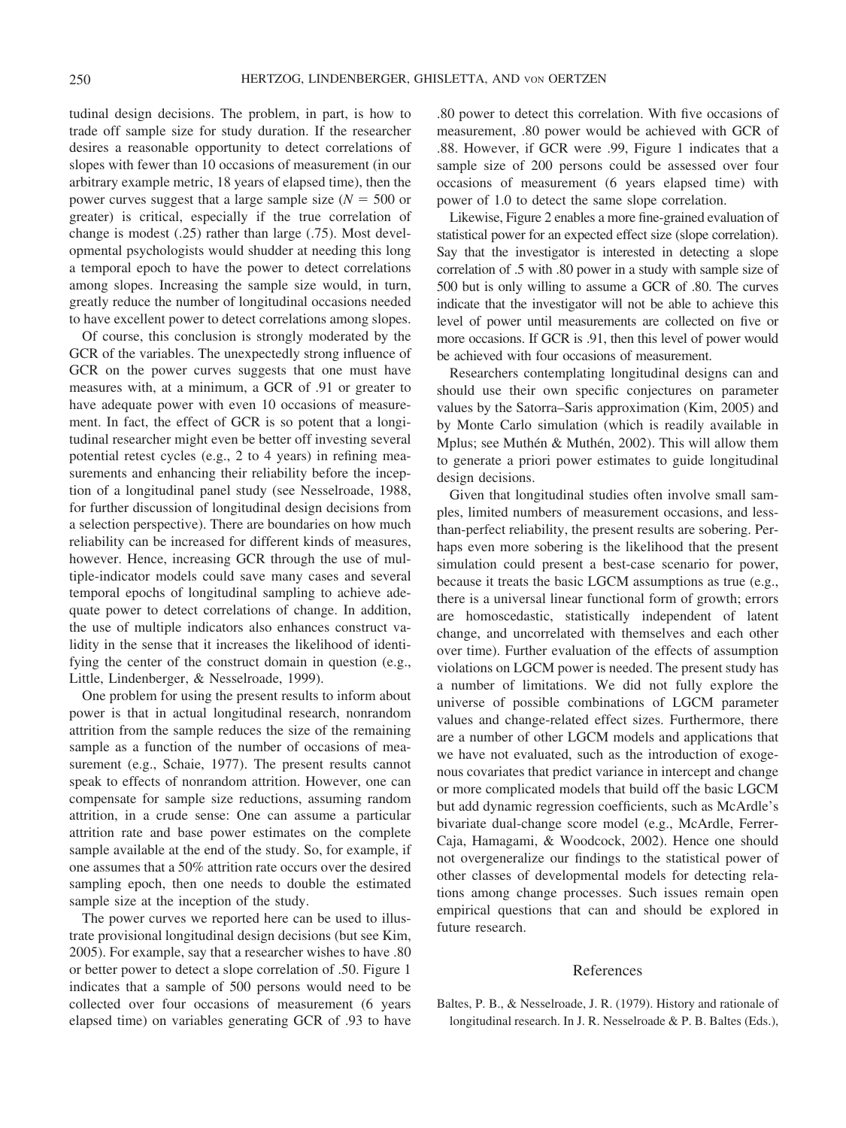tudinal design decisions. The problem, in part, is how to trade off sample size for study duration. If the researcher desires a reasonable opportunity to detect correlations of slopes with fewer than 10 occasions of measurement (in our arbitrary example metric, 18 years of elapsed time), then the power curves suggest that a large sample size  $(N = 500)$  or greater) is critical, especially if the true correlation of change is modest (.25) rather than large (.75). Most developmental psychologists would shudder at needing this long a temporal epoch to have the power to detect correlations among slopes. Increasing the sample size would, in turn, greatly reduce the number of longitudinal occasions needed to have excellent power to detect correlations among slopes.

Of course, this conclusion is strongly moderated by the GCR of the variables. The unexpectedly strong influence of GCR on the power curves suggests that one must have measures with, at a minimum, a GCR of .91 or greater to have adequate power with even 10 occasions of measurement. In fact, the effect of GCR is so potent that a longitudinal researcher might even be better off investing several potential retest cycles (e.g., 2 to 4 years) in refining measurements and enhancing their reliability before the inception of a longitudinal panel study (see Nesselroade, 1988, for further discussion of longitudinal design decisions from a selection perspective). There are boundaries on how much reliability can be increased for different kinds of measures, however. Hence, increasing GCR through the use of multiple-indicator models could save many cases and several temporal epochs of longitudinal sampling to achieve adequate power to detect correlations of change. In addition, the use of multiple indicators also enhances construct validity in the sense that it increases the likelihood of identifying the center of the construct domain in question (e.g., Little, Lindenberger, & Nesselroade, 1999).

One problem for using the present results to inform about power is that in actual longitudinal research, nonrandom attrition from the sample reduces the size of the remaining sample as a function of the number of occasions of measurement (e.g., Schaie, 1977). The present results cannot speak to effects of nonrandom attrition. However, one can compensate for sample size reductions, assuming random attrition, in a crude sense: One can assume a particular attrition rate and base power estimates on the complete sample available at the end of the study. So, for example, if one assumes that a 50% attrition rate occurs over the desired sampling epoch, then one needs to double the estimated sample size at the inception of the study.

The power curves we reported here can be used to illustrate provisional longitudinal design decisions (but see Kim, 2005). For example, say that a researcher wishes to have .80 or better power to detect a slope correlation of .50. Figure 1 indicates that a sample of 500 persons would need to be collected over four occasions of measurement (6 years elapsed time) on variables generating GCR of .93 to have .80 power to detect this correlation. With five occasions of measurement, .80 power would be achieved with GCR of .88. However, if GCR were .99, Figure 1 indicates that a sample size of 200 persons could be assessed over four occasions of measurement (6 years elapsed time) with power of 1.0 to detect the same slope correlation.

Likewise, Figure 2 enables a more fine-grained evaluation of statistical power for an expected effect size (slope correlation). Say that the investigator is interested in detecting a slope correlation of .5 with .80 power in a study with sample size of 500 but is only willing to assume a GCR of .80. The curves indicate that the investigator will not be able to achieve this level of power until measurements are collected on five or more occasions. If GCR is .91, then this level of power would be achieved with four occasions of measurement.

Researchers contemplating longitudinal designs can and should use their own specific conjectures on parameter values by the Satorra–Saris approximation (Kim, 2005) and by Monte Carlo simulation (which is readily available in Mplus; see Muthén & Muthén, 2002). This will allow them to generate a priori power estimates to guide longitudinal design decisions.

Given that longitudinal studies often involve small samples, limited numbers of measurement occasions, and lessthan-perfect reliability, the present results are sobering. Perhaps even more sobering is the likelihood that the present simulation could present a best-case scenario for power, because it treats the basic LGCM assumptions as true (e.g., there is a universal linear functional form of growth; errors are homoscedastic, statistically independent of latent change, and uncorrelated with themselves and each other over time). Further evaluation of the effects of assumption violations on LGCM power is needed. The present study has a number of limitations. We did not fully explore the universe of possible combinations of LGCM parameter values and change-related effect sizes. Furthermore, there are a number of other LGCM models and applications that we have not evaluated, such as the introduction of exogenous covariates that predict variance in intercept and change or more complicated models that build off the basic LGCM but add dynamic regression coefficients, such as McArdle's bivariate dual-change score model (e.g., McArdle, Ferrer-Caja, Hamagami, & Woodcock, 2002). Hence one should not overgeneralize our findings to the statistical power of other classes of developmental models for detecting relations among change processes. Such issues remain open empirical questions that can and should be explored in future research.

### References

Baltes, P. B., & Nesselroade, J. R. (1979). History and rationale of longitudinal research. In J. R. Nesselroade & P. B. Baltes (Eds.),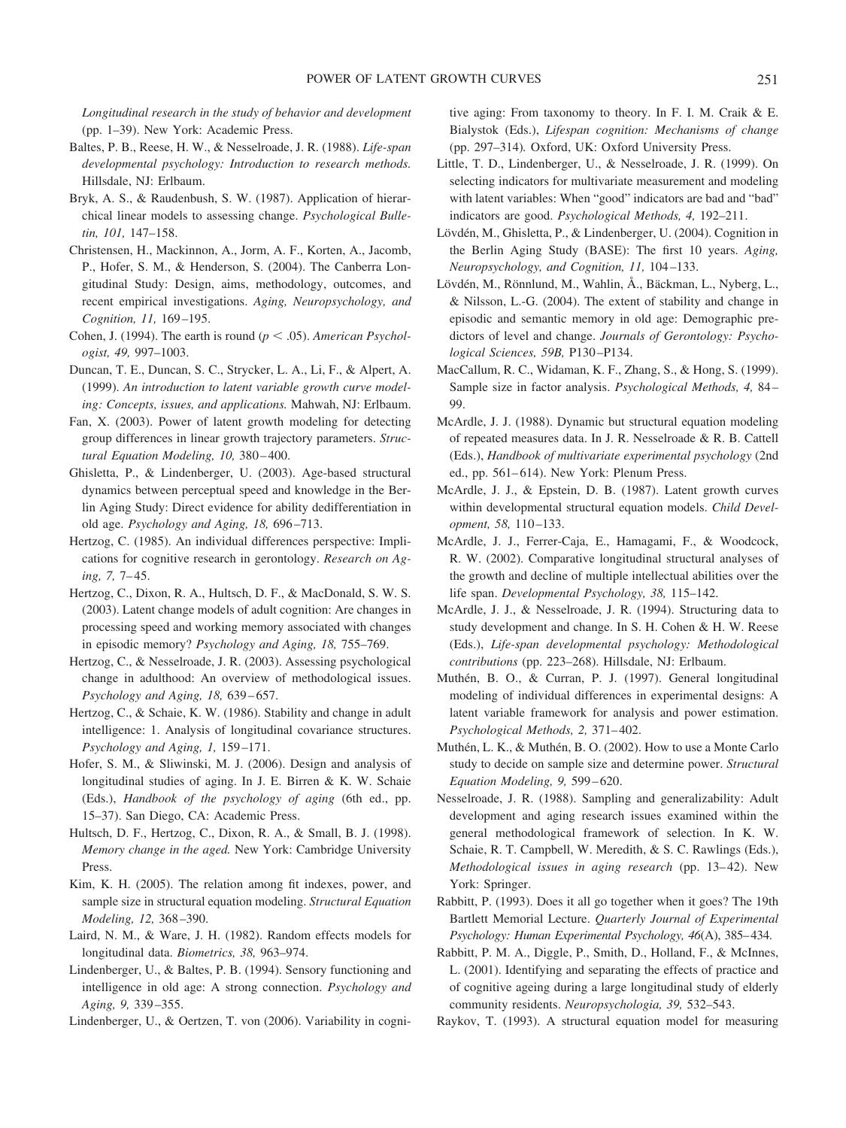*Longitudinal research in the study of behavior and development* (pp. 1–39). New York: Academic Press.

- Baltes, P. B., Reese, H. W., & Nesselroade, J. R. (1988). *Life-span developmental psychology: Introduction to research methods.* Hillsdale, NJ: Erlbaum.
- Bryk, A. S., & Raudenbush, S. W. (1987). Application of hierarchical linear models to assessing change. *Psychological Bulletin, 101,* 147–158.
- Christensen, H., Mackinnon, A., Jorm, A. F., Korten, A., Jacomb, P., Hofer, S. M., & Henderson, S. (2004). The Canberra Longitudinal Study: Design, aims, methodology, outcomes, and recent empirical investigations. *Aging, Neuropsychology, and Cognition, 11,* 169 –195.
- Cohen, J. (1994). The earth is round ( $p \leq .05$ ). *American Psychologist, 49,* 997–1003.
- Duncan, T. E., Duncan, S. C., Strycker, L. A., Li, F., & Alpert, A. (1999). *An introduction to latent variable growth curve modeling: Concepts, issues, and applications.* Mahwah, NJ: Erlbaum.
- Fan, X. (2003). Power of latent growth modeling for detecting group differences in linear growth trajectory parameters. *Structural Equation Modeling, 10,* 380 – 400.
- Ghisletta, P., & Lindenberger, U. (2003). Age-based structural dynamics between perceptual speed and knowledge in the Berlin Aging Study: Direct evidence for ability dedifferentiation in old age. *Psychology and Aging, 18,* 696 –713.
- Hertzog, C. (1985). An individual differences perspective: Implications for cognitive research in gerontology. *Research on Aging, 7,* 7– 45.
- Hertzog, C., Dixon, R. A., Hultsch, D. F., & MacDonald, S. W. S. (2003). Latent change models of adult cognition: Are changes in processing speed and working memory associated with changes in episodic memory? *Psychology and Aging, 18,* 755–769.
- Hertzog, C., & Nesselroade, J. R. (2003). Assessing psychological change in adulthood: An overview of methodological issues. *Psychology and Aging, 18,* 639 – 657.
- Hertzog, C., & Schaie, K. W. (1986). Stability and change in adult intelligence: 1. Analysis of longitudinal covariance structures. *Psychology and Aging, 1,* 159 –171.
- Hofer, S. M., & Sliwinski, M. J. (2006). Design and analysis of longitudinal studies of aging. In J. E. Birren & K. W. Schaie (Eds.), *Handbook of the psychology of aging* (6th ed., pp. 15–37). San Diego, CA: Academic Press.
- Hultsch, D. F., Hertzog, C., Dixon, R. A., & Small, B. J. (1998). *Memory change in the aged.* New York: Cambridge University Press.
- Kim, K. H. (2005). The relation among fit indexes, power, and sample size in structural equation modeling. *Structural Equation Modeling, 12,* 368 –390.
- Laird, N. M., & Ware, J. H. (1982). Random effects models for longitudinal data. *Biometrics, 38,* 963–974.
- Lindenberger, U., & Baltes, P. B. (1994). Sensory functioning and intelligence in old age: A strong connection. *Psychology and Aging, 9,* 339 –355.

Lindenberger, U., & Oertzen, T. von (2006). Variability in cogni-

tive aging: From taxonomy to theory. In F. I. M. Craik & E. Bialystok (Eds.), *Lifespan cognition: Mechanisms of change* (pp. 297–314)*.* Oxford, UK: Oxford University Press.

- Little, T. D., Lindenberger, U., & Nesselroade, J. R. (1999). On selecting indicators for multivariate measurement and modeling with latent variables: When "good" indicators are bad and "bad" indicators are good. *Psychological Methods, 4,* 192–211.
- Lövdén, M., Ghisletta, P., & Lindenberger, U. (2004). Cognition in the Berlin Aging Study (BASE): The first 10 years. *Aging, Neuropsychology, and Cognition, 11,* 104 –133.
- Lövdén, M., Rönnlund, M., Wahlin, Å., Bäckman, L., Nyberg, L., & Nilsson, L.-G. (2004). The extent of stability and change in episodic and semantic memory in old age: Demographic predictors of level and change. *Journals of Gerontology: Psychological Sciences, 59B,* P130 –P134.
- MacCallum, R. C., Widaman, K. F., Zhang, S., & Hong, S. (1999). Sample size in factor analysis. *Psychological Methods, 4,* 84 – 99.
- McArdle, J. J. (1988). Dynamic but structural equation modeling of repeated measures data. In J. R. Nesselroade & R. B. Cattell (Eds.), *Handbook of multivariate experimental psychology* (2nd ed., pp. 561–614). New York: Plenum Press.
- McArdle, J. J., & Epstein, D. B. (1987). Latent growth curves within developmental structural equation models. *Child Development, 58,* 110 –133.
- McArdle, J. J., Ferrer-Caja, E., Hamagami, F., & Woodcock, R. W. (2002). Comparative longitudinal structural analyses of the growth and decline of multiple intellectual abilities over the life span. *Developmental Psychology, 38,* 115–142.
- McArdle, J. J., & Nesselroade, J. R. (1994). Structuring data to study development and change. In S. H. Cohen & H. W. Reese (Eds.), *Life-span developmental psychology: Methodological contributions* (pp. 223–268). Hillsdale, NJ: Erlbaum.
- Muthén, B. O., & Curran, P. J. (1997). General longitudinal modeling of individual differences in experimental designs: A latent variable framework for analysis and power estimation. *Psychological Methods, 2,* 371– 402.
- Muthén, L. K., & Muthén, B. O. (2002). How to use a Monte Carlo study to decide on sample size and determine power. *Structural Equation Modeling, 9,* 599 – 620.
- Nesselroade, J. R. (1988). Sampling and generalizability: Adult development and aging research issues examined within the general methodological framework of selection. In K. W. Schaie, R. T. Campbell, W. Meredith, & S. C. Rawlings (Eds.), *Methodological issues in aging research* (pp. 13-42). New York: Springer.
- Rabbitt, P. (1993). Does it all go together when it goes? The 19th Bartlett Memorial Lecture. *Quarterly Journal of Experimental Psychology: Human Experimental Psychology, 46*(A), 385– 434.
- Rabbitt, P. M. A., Diggle, P., Smith, D., Holland, F., & McInnes, L. (2001). Identifying and separating the effects of practice and of cognitive ageing during a large longitudinal study of elderly community residents. *Neuropsychologia, 39,* 532–543.
- Raykov, T. (1993). A structural equation model for measuring